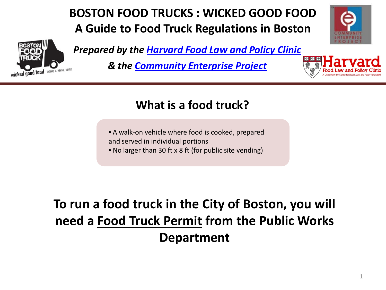# **BOSTON FOOD TRUCKS : WICKED GOOD FOOD A Guide to Food Truck Regulations in Boston**



*[P](http://www.cityofboston.gov/business/mobile/)repared by the [Harvard Food Law and Policy Clinic](http://blogs.law.harvard.edu/foodpolicyinitiative/)*

*& the [Community Enterprise Project](http://www.law.harvard.edu/academics/clinical/tlc/clients/cep.html)*



# **What is a food truck?**

- A walk-on vehicle where food is cooked, prepared and served in individual portions
- No larger than 30 ft x 8 ft (for public site vending)

# **To run a food truck in the City of Boston, you will need a Food Truck Permit from the Public Works Department**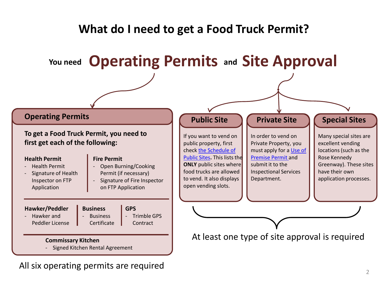

All six operating permits are required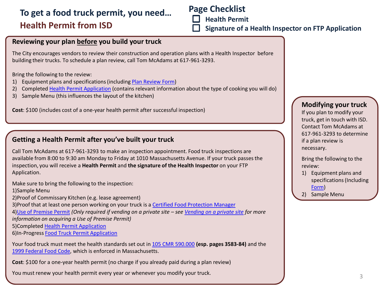# **Health Permit from ISD To get a food truck permit, you need… Page Checklist**

 **Health Permit**

 **Signature of a Health Inspector on FTP Application**

#### **Reviewing your plan before you build your truck**

The City encourages vendors to review their construction and operation plans with a Health Inspector before building their trucks. To schedule a plan review, call Tom McAdams at 617-961-3293.

Bring the following to the review:

- 1) Equipment plans and specifications (including [Plan Review Form\)](http://www.cityofboston.gov/Images_Documents/ISD_Mobile_Food_Establishment_Plan_Review_KD_tcm3-25600.pdf)
- 2) Completed [Health Permit Application](http://www.cityofboston.gov/Images_Documents/Mobile Food Establishment Plan Review Form. McAdams._tcm3-33294.pdf) (contains relevant information about the type of cooking you will do)
- 3) Sample Menu (this influences the layout of the kitchen)

**Cost**: \$100 (includes cost of a one-year health permit after successful inspection)

#### **Getting a Health Permit after you've built your truck**

Call Tom McAdams at 617-961-3293 to make an inspection appointment. Food truck inspections are available from 8:00 to 9:30 am Monday to Friday at 1010 Massachusetts Avenue. If your truck passes the inspection, you will receive a **Health Permit** and **the signature of the Health Inspector** on your FTP Application.

Make sure to bring the following to the inspection:

1)Sample Menu

2)Proof of Commissary Kitchen (e.g. lease agreement)

3)Proof that at least one person working on your truck is a [Certified Food Protection Manager](http://www.cityofboston.gov/isd/health/fmcert.asp)

4)[Use of Premise Permit](http://www.cityofboston.gov/isd/building/premises.asp) *(Only required if vending on a private site – see Vending on a private site for more information on acquiring a Use of Premise Permit)*

5)Completed [Health Permit Application](http://www.cityofboston.gov/Images_Documents/Mobile Food Establishment Plan Review Form. McAdams._tcm3-33294.pdf)

6)In-Progress [Food Truck Permit Application](http://www.cityofboston.gov/Images_Documents/2013 Food Truck Permit Application Fillable_tcm3-25641.pdf)

Your food truck must meet the health standards set out in [105 CMR 590.000](http://www.mass.gov/eohhs/docs/dph/regs/105cmr590.pdf) **(esp. pages 3583-84)** and the [1999 Federal Food Code,](http://www.cityofboston.gov/Images_Documents/Reference - Federal Food Code Relevant Sections_tcm3-18976.pdf) which is enforced in Massachusetts.

**Cost**: \$100 for a one-year health permit (no charge if you already paid during a plan review)

You must renew your health permit every year or whenever you modify your truck.

#### **Modifying your truck**

If you plan to modify your truck, get in touch with ISD. Contact Tom McAdams at 617-961-3293 to determine if a plan review is necessary.

Bring the following to the review:

- 1) Equipment plans and specifications (Including [Form\)](http://www.cityofboston.gov/Images_Documents/ISD_Mobile_Food_Establishment_Plan_Review_KD_tcm3-25600.pdf)
- 2) Sample Menu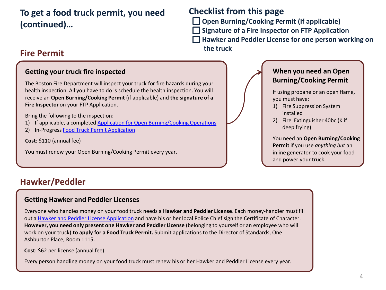**To get a food truck permit, you need (continued)…**

## **Checklist from this page**

 **Open Burning/Cooking Permit (if applicable)**

 **Signature of a Fire Inspector on FTP Application**

 **Hawker and Peddler License for one person working on** 

you must have:

and power your truck.

 **the truck**

# **Fire Permit**

#### **Getting your truck fire inspected**

The Boston Fire Department will inspect your truck for fire hazards during your health inspection. All you have to do is schedule the health inspection. You will receive an **Open Burning/Cooking Permit** (if applicable) and **the signature of a Fire Inspector** on your FTP Application.

Bring the following to the inspection:

- 1) If applicable, a completed [Application for Open Burning/Cooking Operations](http://www.cityofboston.gov/Images_Documents/Application for Open Burning-Cooking Operations_tcm3-17553.pdf)
- 2) In-Progress [Food Truck Permit Application](http://www.cityofboston.gov/Images_Documents/2012 Food Truck Permit Application-4-12_tcm3-25641.pdf)

**Cost**: \$110 (annual fee)

You must renew your Open Burning/Cooking Permit every year.

# **Hawker/Peddler**

#### **Getting Hawker and Peddler Licenses**

Everyone who handles money on your food truck needs a **Hawker and Peddler License**. Each money-handler must fill out a [Hawker and Peddler License Application](http://www.mass.gov/ocabr/docs/dos/hp-renewal-form-2002.pdf) and have his or her local Police Chief sign the Certificate of Character. **However, you need only present one Hawker and Peddler License** (belonging to yourself or an employee who will work on your truck) **to apply for a Food Truck Permit.** Submit applications to the Director of Standards, One Ashburton Place, Room 1115.

**Cost**: \$62 per license (annual fee)

Every person handling money on your food truck must renew his or her Hawker and Peddler License every year.



**When you need an Open Burning/Cooking Permit**

If using propane or an open flame,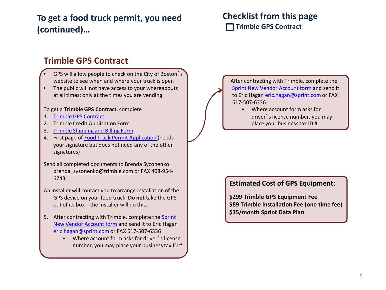# **To get a food truck permit, you need (continued)…**

## **Checklist from this page Trimble GPS Contract**

## **Trimble GPS Contract**

- GPS will allow people to check on the City of Boston's website to see when and where your truck is open
- The public will not have access to your whereabouts at all times; only at the times you are vending

#### To get a **Trimble GPS Contract**, complete

- 1. [Trimble GPS Contract](http://www.cityofboston.gov/business/mobile/gps.asp)
- 2. Trimble Credit Application Form
- 3. [Trimble Shipping and Billing Form](http://www.cityofboston.gov/business/mobile/gps.asp)
- 4. First page of [Food Truck Permit Application \(](http://www.cityofboston.gov/Images_Documents/2013 Food Truck Permit Application Fillable_tcm3-25641.pdf)needs your signature but does not need any of the other signatures)
- Send all completed documents to Brenda Syzonenko brenda\_syzonenko@trimble.com or FAX 408-954- 6743.
- An installer will contact you to arrange installation of the GPS device on your food truck. **Do not** take the GPS out of its box – the installer will do this.
- 5. After contracting with Trimble, complete the [Sprint](http://www.cityofboston.gov/Images_Documents/SPRINT New Vendor Account Form_tcm3-25763.pdf)  [New Vendor Account form](http://www.cityofboston.gov/Images_Documents/SPRINT New Vendor Account Form_tcm3-25763.pdf) and send it to Eric Hagan [eric.hagan@sprint.com](mailto:eric.hagan@sprint.com) or FAX 617-507-6336
	- Where account form asks for driver's license number, you may place your business tax ID #

 After contracting with Trimble, complete the [Sprint New Vendor Account form](http://www.cityofboston.gov/Images_Documents/SPRINT New Vendor Account Form_tcm3-25763.pdf) and send it to Eric Hagan [eric.hagan@sprint.com](mailto:eric.hagan@sprint.com) or FAX 617-507-6336

> • Where account form asks for driver's license number, you may place your business tax ID #

#### **Estimated Cost of GPS Equipment:**

**\$299 Trimble GPS Equipment Fee \$89 Trimble Installation Fee (one time fee) \$35/month Sprint Data Plan**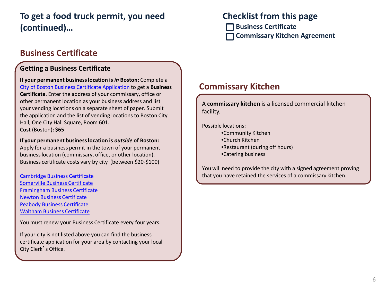# **To get a food truck permit, you need (continued)…**

## **Business Certificate**

#### **Getting a Business Certificate**

**If your permanent business location is** *in* **Boston:** Complete a [City of Boston Business Certificate Application](http://www.cityofboston.gov/Images_Documents/New Business Certificate_1001_9-12-2012_tcm3-18726.pdf) to get a **Business Certificate**. Enter the address of your commissary, office or other permanent location as your business address and list your vending locations on a separate sheet of paper. Submit the application and the list of vending locations to Boston City Hall, One City Hall Square, Room 601. **Cost** (Boston)**: \$65**

**If your permanent business location is** *outside* **of Boston:**  Apply for a business permit in the town of your permanent business location (commissary, office, or other location). Business certificate costs vary by city (between \$20-\$100)

[Cambridge Business Certificate](http://www2.cambridgema.gov/CityOfCambridge_Content/documents/forms/business_certificate.pdf) [Somerville Business Certificate](http://www.somervillema.gov/sites/default/files/documents/BusinessCertificate.pdf) [Framingham Business Certificate](http://www.framinghamma.gov/DocumentCenter/Home/View/1514) [Newton Business Certificate](http://www.newtonma.gov/civicax/filebank/documents/46091) [Peabody Business Certificate](http://www.peabody-ma.gov/city clerk/Business Certificate0001.pdf) [Waltham Business Certificate](http://www.city.waltham.ma.us/sites/walthamma/files/file/file/businesscert.pdf)

You must renew your Business Certificate every four years.

If your city is not listed above you can find the business certificate application for your area by contacting your local City Clerk's Office.

## **Checklist from this page**

 **Business Certificate Commissary Kitchen Agreement**

#### **Commissary Kitchen**

A **commissary kitchen** is a licensed commercial kitchen facility.

Possible locations:

- •Community Kitchen
- •Church Kitchen
- •Restaurant (during off hours)
- •Catering business

You will need to provide the city with a signed agreement proving that you have retained the services of a commissary kitchen.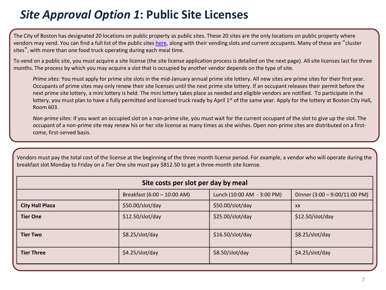# *Site Approval Option 1***: Public Site Licenses**

The City of Boston has designated 20 locations on public property as public sites. These 20 sites are the only locations on public property where vendors may vend. You can find a full list of the public sites [here,](http://www.cityofboston.gov/business/mobile/publicsites.asp) along with their vending slots and current occupants. Many of these are "cluster sites", with more than one food truck operating during each meal time.

To vend on a public site, you must acquire a site license (the site license application process is detailed on the next page). All site licenses last for three months. The process by which you may acquire a slot that is occupied by another vendor depends on the type of site.

*Prime sites:* You must apply for prime site slots in the mid-January annual prime site lottery. All new sites are prime sites for their first year. Occupants of prime sites may only renew their site licenses until the next prime site lottery. If an occupant releases their permit before the next prime site lottery, a mini lottery is held. The mini lottery takes place as needed and eligible vendors are notified. To participate in the lottery, you must plan to have a fully permitted and licensed truck ready by April 1<sup>st</sup> of the same year. Apply for the lottery at Boston City Hall, Room 603.

*Non-prime sites:* If you want an occupied slot on a non-prime site, you must wait for the current occupant of the slot to give up the slot. The occupant of a non-prime site may renew his or her site license as many times as she wishes. Open non-prime sites are distributed on a firstcome, first-served basis.

Vendors must pay the total cost of the license at the beginning of the three month license period. For example, a vendor who will operate during the breakfast slot Monday to Friday on a Tier One site must pay \$812.50 to get a three-month site license.

| Site costs per slot per day by meal |                             |                            |                               |
|-------------------------------------|-----------------------------|----------------------------|-------------------------------|
|                                     | Breakfast (6:00 - 10:00 AM) | Lunch (10:00 AM - 3:00 PM) | Dinner (3:00 - 9:00/11:00 PM) |
| <b>City Hall Plaza</b>              | \$50.00/slot/day            | \$50.00/slot/day           | <b>XX</b>                     |
| <b>Tier One</b>                     | \$12.50/slot/day            | \$25.00/slot/day           | \$12.50/slot/day              |
| <b>Tier Two</b>                     | \$8.25/slot/day             | \$16.50/slot/day           | \$8.25/slot/day               |
| <b>Tier Three</b>                   | \$4.25/slot/day             | \$8.50/slot/day            | \$4.25/slot/day               |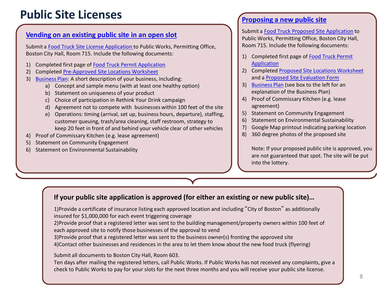# **Public Site Licenses**

#### **[Vending on an existing public site in an open slot](http://www.cityofboston.gov/business/mobile/approvedlocations.asp)**

Submit a [Food Truck Site License Application t](http://www.cityofboston.gov/Images_Documents/2013 Food Truck Site License Application Fillable3_tcm3-36411.pdf)o Public Works, Permitting Office, Boston City Hall, Room 715. Include the following documents:

- 1) Completed first page of [Food Truck Permit Application](http://www.cityofboston.gov/Images_Documents/2013 Food Truck Permit Application Fillable_tcm3-25641.pdf)
- 2) Completed [Pre-Approved Site Locations Worksheet](http://www.cityofboston.gov/Images_Documents/Food Truck Pre-approved site locations worksheet_cc_6-2-11_tcm3-25694.pdf)
- 3) [Business Plan](http://www.cityofboston.gov/business/mobile/approvedlocations.asp): A short description of your business, including:
	- a) Concept and sample menu (with at least one healthy option)
	- b) Statement on uniqueness of your product
	- c) Choice of participation in Rethink Your Drink campaign
	- d) Agreement not to compete with businesses within 100 feet of the site
	- e) Operations: timing (arrival, set up, business hours, departure), staffing, customer queuing, trash/area cleaning, staff restroom, strategy to keep 20 feet in front of and behind your vehicle clear of other vehicles
- 4) Proof of Commissary Kitchen (e.g. lease agreement)
- 5) Statement on Community Engagement
- 6) Statement on Environmental Sustainability

#### **[Proposing a new public site](http://www.cityofboston.gov/business/mobile/proposelocations.asp)**

Submit a [Food Truck Proposed Site Application](http://www.cityofboston.gov/Images_Documents/Food Truck Proposed Site Application_cc_6-13_tcm3-25923.pdf) to Public Works, Permitting Office, Boston City Hall, Room 715. Include the following documents:

- 1) Completed first page of Food Truck Permit [Application](http://www.cityofboston.gov/Images_Documents/2013 Food Truck Permit Application Fillable_tcm3-25641.pdf)
- 2) Completed [Proposed Site Locations Worksheet](http://www.cityofboston.gov/Images_Documents/Food Truck Proposed Site Worksheet CC 6-6-11_tcm3-25750.pdf) and a [Proposed Site Evaluation Form](http://www.cityofboston.gov/Images_Documents/Food Truck Site Evaluation Form (proposed site)_tcm3-25901.pdf)
- 3) [Business Plan](http://www.cityofboston.gov/business/mobile/approvedlocations.asp) (see box to the left for an explanation of the Business Plan)
- 4) Proof of Commissary Kitchen (e.g. lease agreement)
- 5) Statement on Community Engagement
- 6) Statement on Environmental Sustainability
- 7) Google Map printout indicating parking location
- 8) 360 degree photos of the proposed site

Note: If your proposed public site is approved, you are not guaranteed that spot. The site will be put into the lottery.

#### **If your public site application is approved (for either an existing or new public site)…**

1)Provide a certificate of insurance listing each approved location and including "City of Boston" as additionally insured for \$1,000,000 for each event triggering coverage

2)Provide proof that a registered letter was sent to the building management/property owners within 100 feet of each approved site to notify those businesses of the approval to vend

3)Provide proof that a registered letter was sent to the business owner(s) fronting the approved site 4)Contact other businesses and residences in the area to let them know about the new food truck (flyering)

#### Submit all documents to Boston City Hall, Room 603.

Ten days after mailing the registered letters, call Public Works. If Public Works has not received any complaints, give a check to Public Works to pay for your slots for the next three months and you will receive your public site license.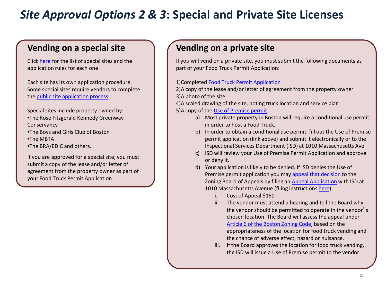# <span id="page-8-0"></span>*Site Approval Options 2 & 3***: Special and Private Site Licenses**

### **Vending on a special site**

Click [here](http://www.cityofboston.gov/business/mobile/special.asp) for the list of special sites and the application rules for each one

Each site has its own application procedure. Some special sites require vendors to complete the [public site application process.](#page-8-0)

Special sites include property owned by: •The Rose Fitzgerald Kennedy Greenway Conservancy

- •The Boys and Girls Club of Boston
- •The MBTA
- •The BRA/EDIC and others.

If you are approved for a special site, you must submit a copy of the lease and/or letter of agreement from the property owner as part of your Food Truck Permit Application

## **Vending on a private site**

If you will vend on a private site, you must submit the following documents as part of your Food Truck Permit Application:

#### 1)Completed [Food Truck Permit Application](http://www.cityofboston.gov/Images_Documents/2013 Food Truck Permit Application Fillable_tcm3-25641.pdf)

2)A copy of the lease and/or letter of agreement from the property owner 3)A photo of the site

4)A scaled drawing of the site, noting truck location and service plan 5)A copy of the [Use of Premise permit.](http://www.cityofboston.gov/isd/building/premises.asp)

- a) Most private property in Boston will require a conditional use permit in order to host a Food Truck.
- b) In order to obtain a conditional use permit, fill out the Use of Premise permit application (link above) and submit it electronically or to the Inspectional Services Department (ISD) at 1010 Massachusetts Ave.
- c) ISD will review your Use of Premise Permit Application and approve or deny it.
- d) Your application is likely to be denied. If ISD denies the Use of Premise permit application you may [appeal that decision](http://www.cityofboston.gov/isd/building/process.asp) to the Zoning Board of Appeals by filing an [Appeal Application](http://www.cityofboston.gov/Images_Documents/Board of Appeal_Appeal under Boston Zoning Code (BD09)_tcm3-18358.pdf) with ISD at 1010 Massachusetts Avenue (filing instructions [here\)](http://www.cityofboston.gov/Images_Documents/Board of Appeal Filing Instructions_tcm3-18357.pdf)
	- i. Cost of Appeal \$150
	- ii. The vendor must attend a hearing and tell the Board why the vendor should be permitted to operate in the vendor's chosen location. The Board will assess the appeal under [Article 6 of the Boston Zoning Code](http://www.bostonredevelopmentauthority.org/pdf/ZoningCode/Article6.pdf), based on the appropriateness of the location for food truck vending and the chance of adverse effect, hazard or nuisance.
	- iii. If the Board approves the location for food truck vending, the ISD will issue a Use of Premise permit to the vendor.